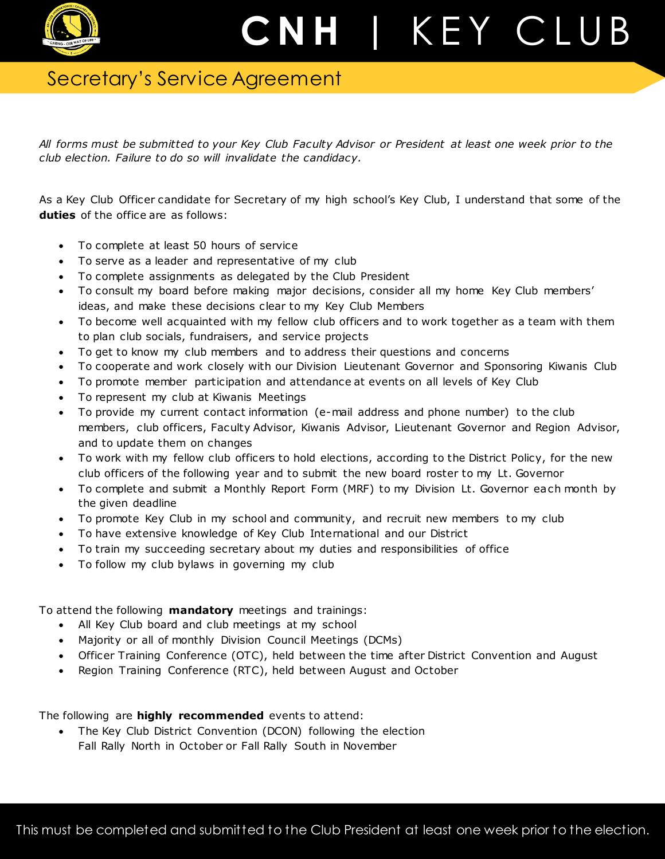

## Secretary's Service Agreement

*All forms must be submitted to your Key Club Faculty Advisor or President at least one week prior to the club election. Failure to do so will invalidate the candidacy.*

As a Key Club Officer candidate for Secretary of my high school's Key Club, I understand that some of the **duties** of the office are as follows:

- To complete at least 50 hours of service
- To serve as a leader and representative of my club
- To complete assignments as delegated by the Club President
- To consult my board before making major decisions, consider all my home Key Club members' ideas, and make these decisions clear to my Key Club Members
- To become well acquainted with my fellow club officers and to work together as a team with them to plan club socials, fundraisers, and service projects
- To get to know my club members and to address their questions and concerns
- To cooperate and work closely with our Division Lieutenant Governor and Sponsoring Kiwanis Club
- To promote member participation and attendance at events on all levels of Key Club
- To represent my club at Kiwanis Meetings
- To provide my current contact information (e-mail address and phone number) to the club members, club officers, Faculty Advisor, Kiwanis Advisor, Lieutenant Governor and Region Advisor, and to update them on changes
- To work with my fellow club officers to hold elections, according to the District Policy, for the new club officers of the following year and to submit the new board roster to my Lt. Governor
- To complete and submit a Monthly Report Form (MRF) to my Division Lt. Governor each month by the given deadline
- To promote Key Club in my school and community, and recruit new members to my club
- To have extensive knowledge of Key Club International and our District
- To train my succeeding secretary about my duties and responsibilities of office
- To follow my club bylaws in governing my club

## To attend the following **mandatory** meetings and trainings:

- All Key Club board and club meetings at my school
- Majority or all of monthly Division Council Meetings (DCMs)
- Officer Training Conference (OTC), held between the time after District Convention and August
- Region Training Conference (RTC), held between August and October

The following are **highly recommended** events to attend:

 The Key Club District Convention (DCON) following the election Fall Rally North in October or Fall Rally South in November